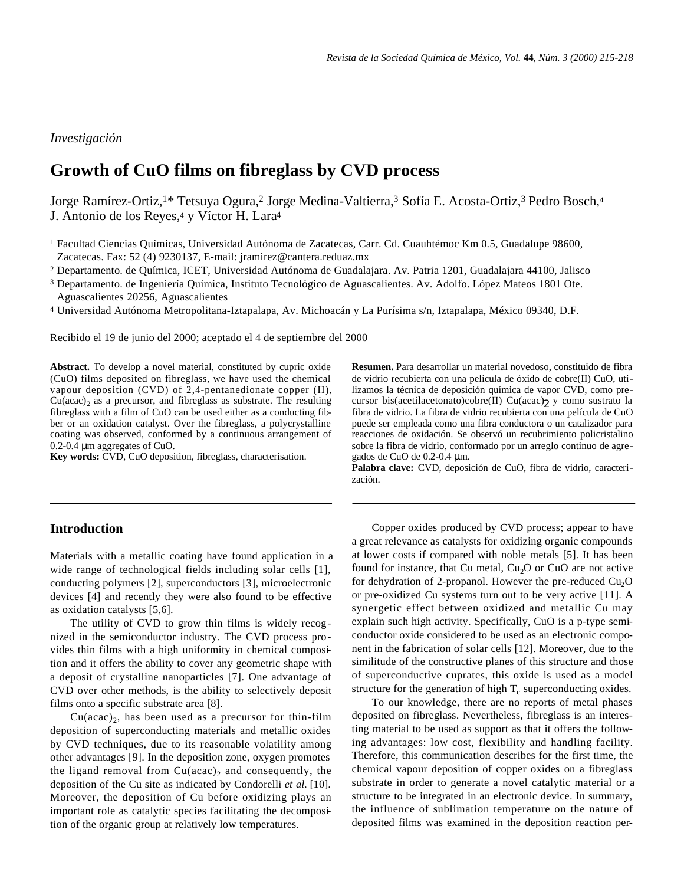### *Investigación*

# **Growth of CuO films on fibreglass by CVD process**

Jorge Ramírez-Ortiz,1\* Tetsuya Ogura,<sup>2</sup> Jorge Medina-Valtierra,<sup>3</sup> Sofía E. Acosta-Ortiz,<sup>3</sup> Pedro Bosch,<sup>4</sup> J. Antonio de los Reyes,<sup>4</sup> y Víctor H. Lara<sup>4</sup>

<sup>2</sup> Departamento. de Química, ICET, Universidad Autónoma de Guadalajara. Av. Patria 1201, Guadalajara 44100, Jalisco

<sup>3</sup> Departamento. de Ingeniería Química, Instituto Tecnológico de Aguascalientes. Av. Adolfo. López Mateos 1801 Ote. Aguascalientes 20256, Aguascalientes

<sup>4</sup> Universidad Autónoma Metropolitana-Iztapalapa, Av. Michoacán y La Purísima s/n, Iztapalapa, México 09340, D.F.

Recibido el 19 de junio del 2000; aceptado el 4 de septiembre del 2000

**Abstract.** To develop a novel material, constituted by cupric oxide (CuO) films deposited on fibreglass, we have used the chemical vapour deposition (CVD) of 2,4-pentanedionate copper (II),  $Cu(acac)<sub>2</sub>$  as a precursor, and fibreglass as substrate. The resulting fibreglass with a film of CuO can be used either as a conducting fibber or an oxidation catalyst. Over the fibreglass, a polycrystalline coating was observed, conformed by a continuous arrangement of 0.2-0.4 μm aggregates of CuO.

**Key words:** CVD, CuO deposition, fibreglass, characterisation.

## **Introduction**

Materials with a metallic coating have found application in a wide range of technological fields including solar cells [1], conducting polymers [2], superconductors [3], microelectronic devices [4] and recently they were also found to be effective as oxidation catalysts [5,6].

The utility of CVD to grow thin films is widely recognized in the semiconductor industry. The CVD process provides thin films with a high uniformity in chemical composition and it offers the ability to cover any geometric shape with a deposit of crystalline nanoparticles [7]. One advantage of CVD over other methods, is the ability to selectively deposit films onto a specific substrate area [8].

 $Cu(acac)_2$ , has been used as a precursor for thin-film deposition of superconducting materials and metallic oxides by CVD techniques, due to its reasonable volatility among other advantages [9]. In the deposition zone, oxygen promotes the ligand removal from  $Cu(acac)_2$  and consequently, the deposition of the Cu site as indicated by Condorelli *et al.* [10]. Moreover, the deposition of Cu before oxidizing plays an important role as catalytic species facilitating the decomposition of the organic group at relatively low temperatures.

**Resumen.** Para desarrollar un material novedoso, constituido de fibra de vidrio recubierta con una película de óxido de cobre(II) CuO, utilizamos la técnica de deposición química de vapor CVD, como precursor bis(acetilacetonato)cobre(II) Cu(acac)2 y como sustrato la fibra de vidrio. La fibra de vidrio recubierta con una película de CuO puede ser empleada como una fibra conductora o un catalizador para reacciones de oxidación. Se observó un recubrimiento policristalino sobre la fibra de vidrio, conformado por un arreglo continuo de agregados de CuO de 0.2-0.4 μm.

**Palabra clave:** CVD, deposición de CuO, fibra de vidrio, caracterización.

Copper oxides produced by CVD process; appear to have a great relevance as catalysts for oxidizing organic compounds at lower costs if compared with noble metals [5]. It has been found for instance, that Cu metal,  $Cu<sub>2</sub>O$  or CuO are not active for dehydration of 2-propanol. However the pre-reduced  $Cu<sub>2</sub>O$ or pre-oxidized Cu systems turn out to be very active [11]. A synergetic effect between oxidized and metallic Cu may explain such high activity. Specifically, CuO is a p-type semiconductor oxide considered to be used as an electronic component in the fabrication of solar cells [12]. Moreover, due to the similitude of the constructive planes of this structure and those of superconductive cuprates, this oxide is used as a model structure for the generation of high  $T_c$  superconducting oxides.

To our knowledge, there are no reports of metal phases deposited on fibreglass. Nevertheless, fibreglass is an interesting material to be used as support as that it offers the following advantages: low cost, flexibility and handling facility. Therefore, this communication describes for the first time, the chemical vapour deposition of copper oxides on a fibreglass substrate in order to generate a novel catalytic material or a structure to be integrated in an electronic device. In summary, the influence of sublimation temperature on the nature of deposited films was examined in the deposition reaction per-

<sup>1</sup> Facultad Ciencias Químicas, Universidad Autónoma de Zacatecas, Carr. Cd. Cuauhtémoc Km 0.5, Guadalupe 98600, Zacatecas. Fax: 52 (4) 9230137, E-mail: jramirez@cantera.reduaz.mx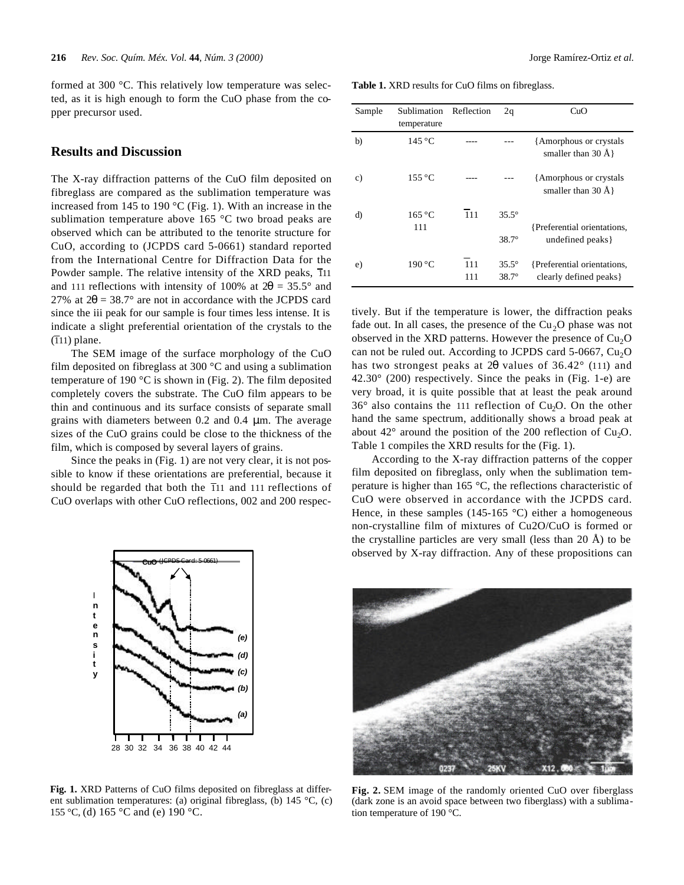formed at 300 °C. This relatively low temperature was selected, as it is high enough to form the CuO phase from the copper precursor used.

#### **Results and Discussion**

The X-ray diffraction patterns of the CuO film deposited on fibreglass are compared as the sublimation temperature was increased from 145 to 190 °C (Fig. 1). With an increase in the sublimation temperature above 165 °C two broad peaks are observed which can be attributed to the tenorite structure for CuO, according to (JCPDS card 5-0661) standard reported from the International Centre for Diffraction Data for the Powder sample. The relative intensity of the XRD peaks,  $\overline{1}11$ and 111 reflections with intensity of 100% at  $2\theta = 35.5^{\circ}$  and 27% at  $2\theta = 38.7^{\circ}$  are not in accordance with the JCPDS card since the iii peak for our sample is four times less intense. It is indicate a slight preferential orientation of the crystals to the  $(T11)$  plane.

The SEM image of the surface morphology of the CuO film deposited on fibreglass at 300 °C and using a sublimation temperature of 190 °C is shown in (Fig. 2). The film deposited completely covers the substrate. The CuO film appears to be thin and continuous and its surface consists of separate small grains with diameters between 0.2 and 0.4 μm. The average sizes of the CuO grains could be close to the thickness of the film, which is composed by several layers of grains.

Since the peaks in (Fig. 1) are not very clear, it is not possible to know if these orientations are preferential, because it should be regarded that both the  $\overline{1}$ 11 and 111 reflections of CuO overlaps with other CuO reflections, 002 and 200 respec-

*(e) (d)*

**Fig. 1.** XRD Patterns of CuO films deposited on fibreglass at different sublimation temperatures: (a) original fibreglass, (b) 145 °C, (c) 155 °C, (d) 165 °C and (e) 190 °C.

**Table 1.** XRD results for CuO films on fibreglass.

| Sample        | Sublimation<br>temperature | Reflection | 2q                               | CuO                                                    |
|---------------|----------------------------|------------|----------------------------------|--------------------------------------------------------|
| b)            | $145^{\circ}$ C            |            |                                  | {Amorphous or crystals}<br>smaller than $30 \text{ Å}$ |
| $\mathbf{c})$ | $155^{\circ}$ C            |            |                                  | {Amorphous or crystals}<br>smaller than $30 \text{ Å}$ |
| d)            | 165 °C<br>111              | 111        | $35.5^\circ$<br>$38.7^\circ$     | {Preferential orientations,<br>undefined peaks }       |
| e)            | 190 °C                     | 111<br>111 | $35.5^{\circ}$<br>$38.7^{\circ}$ | {Preferential orientations,<br>clearly defined peaks } |

tively. But if the temperature is lower, the diffraction peaks fade out. In all cases, the presence of the  $Cu<sub>2</sub>O$  phase was not observed in the XRD patterns. However the presence of  $Cu<sub>2</sub>O$ can not be ruled out. According to JCPDS card  $5{\text -}0667$ , Cu<sub>2</sub>O has two strongest peaks at 2θ values of 36.42° (111) and 42.30° (200) respectively. Since the peaks in (Fig. 1-e) are very broad, it is quite possible that at least the peak around  $36^\circ$  also contains the 111 reflection of Cu<sub>2</sub>O. On the other hand the same spectrum, additionally shows a broad peak at about  $42^{\circ}$  around the position of the 200 reflection of Cu<sub>2</sub>O. Table 1 compiles the XRD results for the (Fig. 1).

According to the X-ray diffraction patterns of the copper film deposited on fibreglass, only when the sublimation temperature is higher than 165 °C, the reflections characteristic of CuO were observed in accordance with the JCPDS card. Hence, in these samples (145-165  $^{\circ}$ C) either a homogeneous non-crystalline film of mixtures of Cu2O/CuO is formed or the crystalline particles are very small (less than 20 Å) to be observed by X-ray diffraction. Any of these propositions can



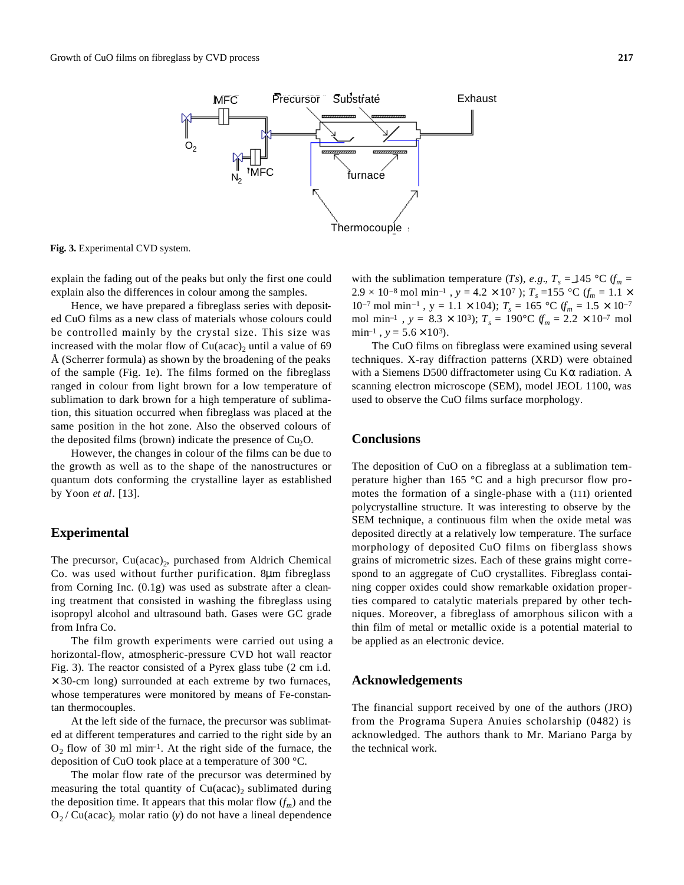

**Fig. 3.** Experimental CVD system.

explain the fading out of the peaks but only the first one could explain also the differences in colour among the samples.

Hence, we have prepared a fibreglass series with deposited CuO films as a new class of materials whose colours could be controlled mainly by the crystal size. This size was increased with the molar flow of  $Cu(acac)$ <sub>2</sub> until a value of 69 Å (Scherrer formula) as shown by the broadening of the peaks of the sample (Fig. 1e). The films formed on the fibreglass ranged in colour from light brown for a low temperature of sublimation to dark brown for a high temperature of sublimation, this situation occurred when fibreglass was placed at the same position in the hot zone. Also the observed colours of the deposited films (brown) indicate the presence of  $Cu<sub>2</sub>O$ .

However, the changes in colour of the films can be due to the growth as well as to the shape of the nanostructures or quantum dots conforming the crystalline layer as established by Yoon *et al*. [13].

#### **Experimental**

The precursor, Cu(acac)<sub>2</sub>, purchased from Aldrich Chemical Co. was used without further purification. 8μm fibreglass from Corning Inc. (0.1g) was used as substrate after a cleaning treatment that consisted in washing the fibreglass using isopropyl alcohol and ultrasound bath. Gases were GC grade from Infra Co.

The film growth experiments were carried out using a horizontal-flow, atmospheric-pressure CVD hot wall reactor Fig. 3). The reactor consisted of a Pyrex glass tube (2 cm i.d.  $\times$  30-cm long) surrounded at each extreme by two furnaces, whose temperatures were monitored by means of Fe-constantan thermocouples.

At the left side of the furnace, the precursor was sublimated at different temperatures and carried to the right side by an  $O_2$  flow of 30 ml min<sup>-1</sup>. At the right side of the furnace, the deposition of CuO took place at a temperature of 300 °C.

The molar flow rate of the precursor was determined by measuring the total quantity of  $Cu (acac)_2$  sublimated during the deposition time. It appears that this molar flow  $(f_m)$  and the  $O_2$  / Cu(acac)<sub>2</sub> molar ratio (*y*) do not have a lineal dependence with the sublimation temperature (*Ts*), *e.g.*,  $T_s = 145 \degree \text{C}$  (*f<sub>m</sub>* =  $2.9 \times 10^{-8}$  mol min<sup>-1</sup>,  $y = 4.2 \times 10^{7}$ ;  $T_s = 155$  °C ( $f_m = 1.1 \times 10^{7}$ );  $T_s = 155$  °C ( $f_m = 1.1 \times 10^{7}$ ) 10<sup>-7</sup> mol min<sup>-1</sup>, y = 1.1 × 104);  $T_s = 165$  °C  $(f_m = 1.5 \times 10^{-7}$ mol min<sup>-1</sup>,  $y = 8.3 \times 10^3$ ;  $T_s = 190^{\circ}$ C  $f_m = 2.2 \times 10^{-7}$  mol  $min^{-1}$ ,  $y = 5.6 \times 10^3$ .

The CuO films on fibreglass were examined using several techniques. X-ray diffraction patterns (XRD) were obtained with a Siemens D500 diffractometer using Cu  $K\alpha$  radiation. A scanning electron microscope (SEM), model JEOL 1100, was used to observe the CuO films surface morphology.

#### **Conclusions**

The deposition of CuO on a fibreglass at a sublimation temperature higher than 165 °C and a high precursor flow promotes the formation of a single-phase with a (111) oriented polycrystalline structure. It was interesting to observe by the SEM technique, a continuous film when the oxide metal was deposited directly at a relatively low temperature. The surface morphology of deposited CuO films on fiberglass shows grains of micrometric sizes. Each of these grains might correspond to an aggregate of CuO crystallites. Fibreglass containing copper oxides could show remarkable oxidation properties compared to catalytic materials prepared by other techniques. Moreover, a fibreglass of amorphous silicon with a thin film of metal or metallic oxide is a potential material to be applied as an electronic device.

#### **Acknowledgements**

The financial support received by one of the authors (JRO) from the Programa Supera Anuies scholarship (0482) is acknowledged. The authors thank to Mr. Mariano Parga by the technical work.